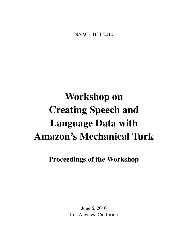<span id="page-0-0"></span>NAACL HLT 2010

# Workshop on Creating Speech and Language Data with Amazon's Mechanical Turk

# Proceedings of the Workshop

June 6, 2010 Los Angeles, California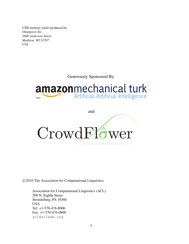USB memory sticks produced by *Omnipress Inc. 2600 Anderson Street Madison, WI 53707 USA*

Generously Sponsored By:

# amazonmechanical turk **Artificial Artificial Intelligence** beta

and CrowdFlower

c 2010 The Association for Computational Linguistics

Association for Computational Linguistics (ACL) 209 N. Eighth Street Stroudsburg, PA 18360 USA Tel: +1-570-476-8006 Fax: +1-570-476-0860 acl@aclweb.org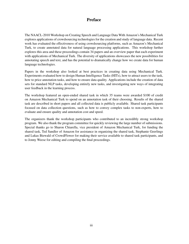## Preface

The NAACL-2010 Workshop on Creating Speech and Language Data With Amazon's Mechanical Turk explores applications of crowdsourcing technologies for the creation and study of language data. Recent work has evaluated the effectiveness of using crowdsourcing platforms, such as Amazon's Mechanical Turk, to create annotated data for natural language processing applications. This workshop further explores this area and these proceedings contain 34 papers and an overview paper that each experiment with applications of Mechanical Turk. The diversity of applications showcases the new possibilities for annotating speech and text, and has the potential to dramatically change how we create data for human language technologies.

Papers in the workshop also looked at best practices in creating data using Mechanical Turk. Experiments evaluated how to design Human Intelligence Tasks (HITs), how to attract users to the task, how to price annotation tasks, and how to ensure data quality. Applications include the creation of data sets for standard NLP tasks, developing entirely new tasks, and investigating new ways of integrating user feedback in the learning process.

The workshop featured an open-ended shared task in which 35 teams were awarded \$100 of credit on Amazon Mechanical Turk to spend on an annotation task of their choosing. Results of the shared task are described in short papers and all collected data is publicly available. Shared task participants focused on data collection questions, such as how to convey complex tasks to non-experts, how to evaluate and ensure quality and annotation cost and speed.

The organizers thank the workshop participants who contributed to an incredibly strong workshop program. We also thank the program committee for quickly reviewing the large number of submissions. Special thanks go to Sharon Chiarella, vice president of Amazon Mechanical Turk, for funding the shared task, Ted Sandler of Amazon for assistance in organizing the shared task, Stephanie Geerlings and Lukas Biewald of CrowdFlower for making their service available to shared task participants, and to Jonny Weese for editing and compiling the final proceedings.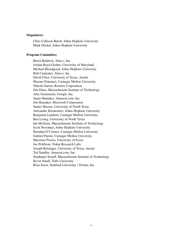#### Organizers:

Chris Callison-Burch, Johns Hopkins University Mark Dredze, Johns Hopkins University

## Program Committee:

Breck Baldwin, Alias-i, Inc. Jordan Boyd-Graber, University of Maryland Michael Bloodgood, Johns Hopkins University Bob Carpenter, Alias-i, Inc. David Chen, University of Texas, Austin Maxine Eskenazi, Carnegie Mellon University Nikesh Garera, Kosmix Corporation Jim Glass, Massachusetts Institute of Technology Alex Gruenstein, Google, Inc. Janna Hamaker, Amazon.com, Inc. Jon Hamaker, Microsoft Corporation Samer Hassan, University of North Texas Alexandre Klementiev, Johns Hopkins University Benjamin Lambert, Carnegie Mellon University Ben Leong, University of North Texas Ian McGraw, Massachusetts Institute of Technology Scott Novotney, Johns Hopkins University Brendan O'Connor, Carnegie Mellon University Gabriel Parent, Carnegie Mellon University Massimo Poesio, University of Essex Joe Polifroni, Nokia Research Labs Joseph Reisinger, University of Texas, Austin Ted Sandler, Amazon.com, Inc. Stephanie Seneff, Massachusetts Institute of Technology Kevin Small, Tufts University Rion Snow, Stanford University / Twitter, Inc.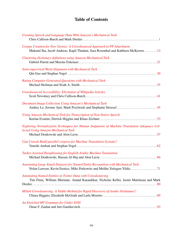## Table of Contents

| Creating Speech and Language Data With Amazon's Mechanical Turk                                                                                               |
|---------------------------------------------------------------------------------------------------------------------------------------------------------------|
| Corpus Creation for New Genres: A Crowdsourced Approach to PP Attachment<br>Mukund Jha, Jacob Andreas, Kapil Thadani, Sara Rosenthal and Kathleen McKeown  13 |
| Clustering dictionary definitions using Amazon Mechanical Turk                                                                                                |
| Semi-supervised Word Alignment with Mechanical Turk                                                                                                           |
| Rating Computer-Generated Questions with Mechanical Turk                                                                                                      |
| Crowdsourced Accessibility: Elicitation of Wikipedia Articles                                                                                                 |
| Document Image Collection Using Amazon's Mechanical Turk<br>Audrey Le, Jerome Ajot, Mark Przybocki and Stephanie Strassel  45                                 |
| Using Amazon Mechanical Turk for Transcription of Non-Native Speech                                                                                           |
| Exploring Normalization Techniques for Human Judgments of Machine Translation Adequacy Col-<br>lected Using Amazon Mechanical Turk                            |
| Can Crowds Build parallel corpora for Machine Translation Systems?                                                                                            |
| Turker-Assisted Paraphrasing for English-Arabic Machine Translation                                                                                           |
| Annotating Large Email Datasets for Named Entity Recognition with Mechanical Turk<br>Nolan Lawson, Kevin Eustice, Mike Perkowitz and Meliha Yetisgen-Yildiz71 |
| Annotating Named Entities in Twitter Data with Crowdsourcing<br>Tim Finin, William Murnane, Anand Karandikar, Nicholas Keller, Justin Martineau and Mark      |
| MTurk Crowdsourcing: A Viable Method for Rapid Discovery of Arabic Nicknames?                                                                                 |
| An Enriched MT Grammar for Under \$100                                                                                                                        |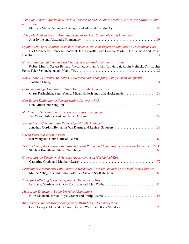| Using the Amazon Mechanical Turk to Transcribe and Annotate Meeting Speech for Extractive Sum-<br>marization                                                                                 |
|----------------------------------------------------------------------------------------------------------------------------------------------------------------------------------------------|
|                                                                                                                                                                                              |
| Using Mechanical Turk to Annotate Lexicons for Less Commonly Used Languages                                                                                                                  |
| Opinion Mining of Spanish Customer Comments with Non-Expert Annotations on Mechanical Turk<br>Bart Mellebeek, Francesc Benavent, Jens Grivolla, Joan Codina, Marta R. Costa-Jussà and Rafael |
| Crowdsourcing and language studies: the new generation of linguistic data<br>Robert Munro, Steven Bethard, Victor Kuperman, Vicky Tzuyin Lai, Robin Melnick, Christopher                     |
| Not-So-Latent Dirichlet Allocation: Collapsed Gibbs Sampling Using Human Judgments                                                                                                           |
| <b>Collecting Image Annotations Using Amazon's Mechanical Turk</b><br>Cyrus Rashtchian, Peter Young, Micah Hodosh and Julia Hockenmaier  139                                                 |
| <b>Non-Expert Evaluation of Summarization Systems is Risky</b>                                                                                                                               |
| Shedding (a Thousand Points of) Light on Biased Language                                                                                                                                     |
| Evaluation of Commonsense Knowledge with Mechanical Turk<br>Jonathan Gordon, Benjamin Van Durme and Lenhart Schubert  159                                                                    |
| <b>Cheap Facts and Counter-Facts</b>                                                                                                                                                         |
| The Wisdom of the Crowds Ear: Speech Accent Rating and Annotation with Amazon Mechanical Turk                                                                                                |
| <b>Crowdsourcing Document Relevance Assessment with Mechanical Turk</b>                                                                                                                      |
| Preliminary Experiments with Amazon's Mechanical Turk for Annotating Medical Named Entities<br>Meliha Yetisgen-Yildiz, Imre Solti, Fei Xia and Scott Halgrim  180                            |
| Tools for Collecting Speech Corpora via Mechanical-Turk                                                                                                                                      |
| <b>Measuring Transitivity Using Untrained Annotators</b>                                                                                                                                     |
| Amazon Mechanical Turk for Subjectivity Word Sense Disambiguation                                                                                                                            |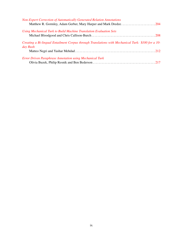| <b>Non-Expert Correction of Automatically Generated Relation Annotations</b><br>Matthew R. Gormley, Adam Gerber, Mary Harper and Mark Dredze204 |  |
|-------------------------------------------------------------------------------------------------------------------------------------------------|--|
| Using Mechanical Turk to Build Machine Translation Evaluation Sets                                                                              |  |
| Creating a Bi-lingual Entailment Corpus through Translations with Mechanical Turk: \$100 for a 10-<br>day Rush                                  |  |
|                                                                                                                                                 |  |
| <b>Error Driven Paraphrase Annotation using Mechanical Turk</b>                                                                                 |  |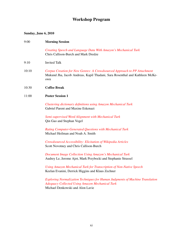# Workshop Program

## Sunday, June 6, 2010

| 9:00  | <b>Morning Session</b>                                                                                                                                               |
|-------|----------------------------------------------------------------------------------------------------------------------------------------------------------------------|
|       | Creating Speech and Language Data With Amazon's Mechanical Turk<br>Chris Callison-Burch and Mark Dredze                                                              |
| 9:10  | <b>Invited Talk</b>                                                                                                                                                  |
| 10:10 | Corpus Creation for New Genres: A Crowdsourced Approach to PP Attachment<br>Mukund Jha, Jacob Andreas, Kapil Thadani, Sara Rosenthal and Kathleen McKe-<br>own       |
| 10:30 | <b>Coffee Break</b>                                                                                                                                                  |
| 11:00 | <b>Poster Session 1</b>                                                                                                                                              |
|       | Clustering dictionary definitions using Amazon Mechanical Turk<br>Gabriel Parent and Maxine Eskenazi                                                                 |
|       | Semi-supervised Word Alignment with Mechanical Turk<br>Qin Gao and Stephan Vogel                                                                                     |
|       | Rating Computer-Generated Questions with Mechanical Turk<br>Michael Heilman and Noah A. Smith                                                                        |
|       | Crowdsourced Accessibility: Elicitation of Wikipedia Articles<br>Scott Novotney and Chris Callison-Burch                                                             |
|       | Document Image Collection Using Amazon's Mechanical Turk<br>Audrey Le, Jerome Ajot, Mark Przybocki and Stephanie Strassel                                            |
|       | Using Amazon Mechanical Turk for Transcription of Non-Native Speech<br>Keelan Evanini, Derrick Higgins and Klaus Zechner                                             |
|       | Exploring Normalization Techniques for Human Judgments of Machine Translation<br>Adequacy Collected Using Amazon Mechanical Turk<br>Michael Denkowski and Alon Lavie |
|       |                                                                                                                                                                      |
|       |                                                                                                                                                                      |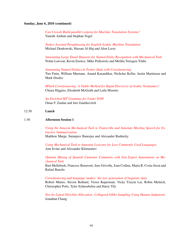## Sunday, June 6, 2010 (continued)

*[Can Crowds Build parallel corpora for Machine Translation Systems?](#page-0-0)* Vamshi Ambati and Stephan Vogel

*[Turker-Assisted Paraphrasing for English-Arabic Machine Translation](#page-0-0)* Michael Denkowski, Hassan Al-Haj and Alon Lavie

*[Annotating Large Email Datasets for Named Entity Recognition with Mechanical Turk](#page-0-0)* Nolan Lawson, Kevin Eustice, Mike Perkowitz and Meliha Yetisgen-Yildiz

*[Annotating Named Entities in Twitter Data with Crowdsourcing](#page-0-0)* Tim Finin, William Murnane, Anand Karandikar, Nicholas Keller, Justin Martineau and Mark Dredze

*[MTurk Crowdsourcing: A Viable Method for Rapid Discovery of Arabic Nicknames?](#page-0-0)* Chiara Higgins, Elizabeth McGrath and Laila Moretto

*[An Enriched MT Grammar for Under](#page-0-0)* \$*100* Omar F. Zaidan and Juri Ganitkevitch

## 12:30 Lunch

## 1:30 Afternoon Session 1

*[Using the Amazon Mechanical Turk to Transcribe and Annotate Meeting Speech for Ex](#page-0-0)[tractive Summarization](#page-0-0)* Matthew Marge, Satanjeev Banerjee and Alexander Rudnicky

*[Using Mechanical Turk to Annotate Lexicons for Less Commonly Used Languages](#page-0-0)* Ann Irvine and Alexandre Klementiev

*[Opinion Mining of Spanish Customer Comments with Non-Expert Annotations on Me](#page-0-0)[chanical Turk](#page-0-0)*

Bart Mellebeek, Francesc Benavent, Jens Grivolla, Joan Codina, Marta R. Costa-Jussa and ` Rafael Banchs

*[Crowdsourcing and language studies: the new generation of linguistic data](#page-0-0)*

Robert Munro, Steven Bethard, Victor Kuperman, Vicky Tzuyin Lai, Robin Melnick, Christopher Potts, Tyler Schnoebelen and Harry Tily

*[Not-So-Latent Dirichlet Allocation: Collapsed Gibbs Sampling Using Human Judgments](#page-0-0)* Jonathan Chang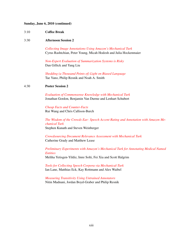### Sunday, June 6, 2010 (continued)

3:10 Coffee Break

#### 3:30 Afternoon Session 2

*[Collecting Image Annotations Using Amazon's Mechanical Turk](#page-0-0)* Cyrus Rashtchian, Peter Young, Micah Hodosh and Julia Hockenmaier

*[Non-Expert Evaluation of Summarization Systems is Risky](#page-0-0)* Dan Gillick and Yang Liu

*[Shedding \(a Thousand Points of\) Light on Biased Language](#page-0-0)* Tae Yano, Philip Resnik and Noah A. Smith

## 4:30 Poster Session 2

*[Evaluation of Commonsense Knowledge with Mechanical Turk](#page-0-0)* Jonathan Gordon, Benjamin Van Durme and Lenhart Schubert

*[Cheap Facts and Counter-Facts](#page-0-0)* Rui Wang and Chris Callison-Burch

*[The Wisdom of the Crowds Ear: Speech Accent Rating and Annotation with Amazon Me](#page-0-0)[chanical Turk](#page-0-0)* Stephen Kunath and Steven Weinberger

*[Crowdsourcing Document Relevance Assessment with Mechanical Turk](#page-0-0)* Catherine Grady and Matthew Lease

*[Preliminary Experiments with Amazon's Mechanical Turk for Annotating Medical Named](#page-0-0) [Entities](#page-0-0)* Meliha Yetisgen-Yildiz, Imre Solti, Fei Xia and Scott Halgrim

*[Tools for Collecting Speech Corpora via Mechanical-Turk](#page-0-0)* Ian Lane, Matthias Eck, Kay Rottmann and Alex Waibel

*[Measuring Transitivity Using Untrained Annotators](#page-0-0)* Nitin Madnani, Jordan Boyd-Graber and Philip Resnik